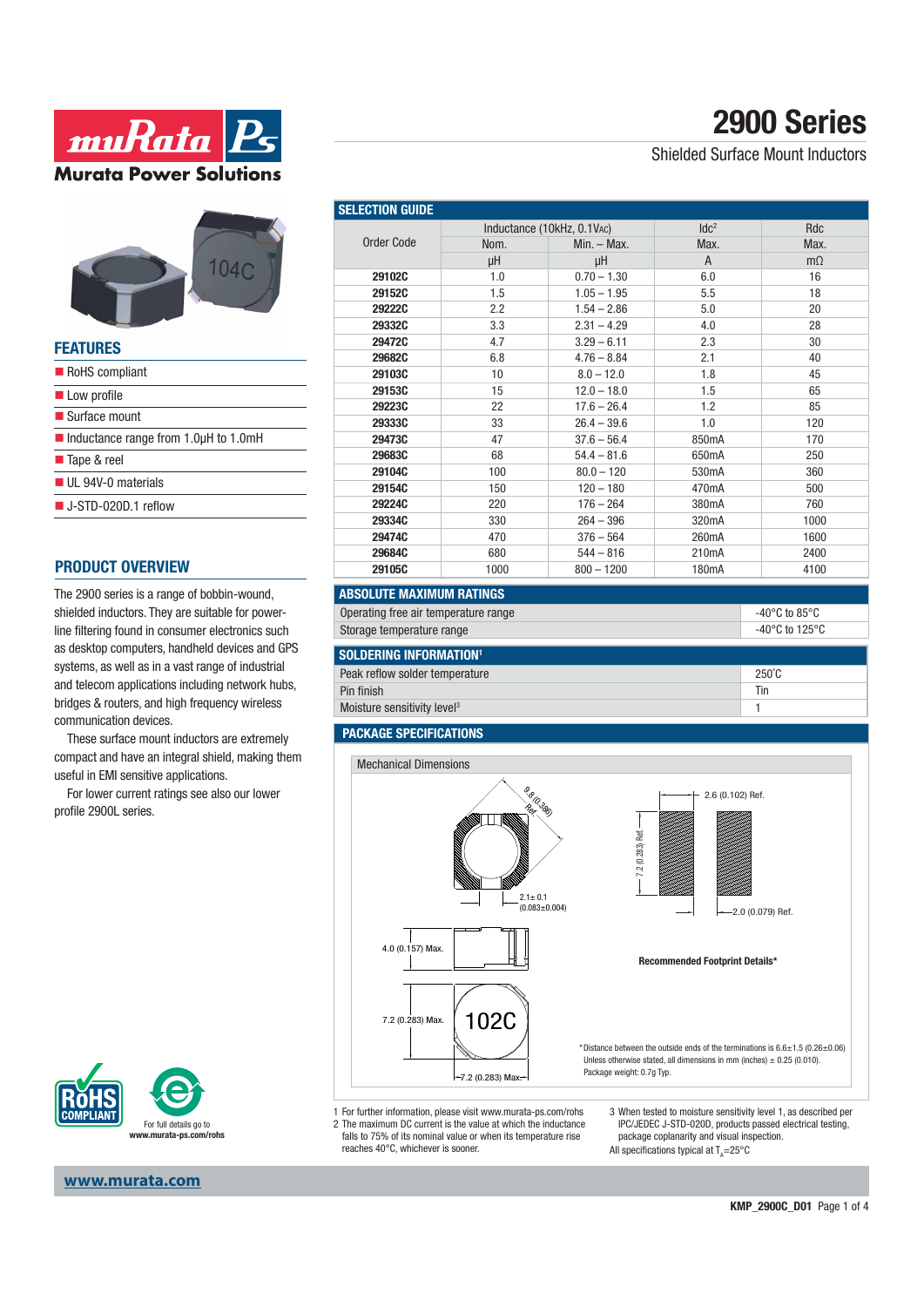



| FEAIURES                                                  |
|-----------------------------------------------------------|
| RoHS compliant                                            |
| Low profile                                               |
| $\blacksquare$ Surface mount                              |
| $\blacksquare$ Inductance range from 1.0 $\mu$ H to 1.0mH |
| ■ Tape & reel                                             |
| UL 94V-0 materials                                        |
| $\blacksquare$ J-STD-020D.1 reflow                        |
|                                                           |

### **PRODUCT OVERVIEW**

**FEATURES**

The 2900 series is a range of bobbin-wound, shielded inductors. They are suitable for powerline filtering found in consumer electronics such as desktop computers, handheld devices and GPS systems, as well as in a vast range of industrial and telecom applications including network hubs, bridges & routers, and high frequency wireless communication devices.

These surface mount inductors are extremely compact and have an integral shield, making them useful in EMI sensitive applications.

For lower current ratings see also our lower profile 2900L series.



Shielded Surface Mount Inductors

| <b>SELECTION GUIDE</b> |                            |               |                    |           |  |
|------------------------|----------------------------|---------------|--------------------|-----------|--|
|                        | Inductance (10kHz, 0.1VAC) |               | IdC <sup>2</sup>   | Rdc       |  |
| Order Code             | Nom.                       | $Min. - Max.$ | Max.               | Max.      |  |
|                        | μH                         | μH            | A                  | $m\Omega$ |  |
| 29102C                 | 1.0                        | $0.70 - 1.30$ | 6.0                | 16        |  |
| <b>29152C</b>          | 1.5                        | $1.05 - 1.95$ | 5.5                | 18        |  |
| <b>29222C</b>          | 2.2                        | $1.54 - 2.86$ | 5.0                | 20        |  |
| 29332C                 | 3.3                        | $2.31 - 4.29$ | 4.0                | 28        |  |
| 29472C                 | 4.7                        | $3.29 - 6.11$ | 2.3                | 30        |  |
| 29682C                 | 6.8                        | $4.76 - 8.84$ | 2.1                | 40        |  |
| 29103C                 | 10                         | $8.0 - 12.0$  | 1.8                | 45        |  |
| 29153C                 | 15                         | $12.0 - 18.0$ | 1.5                | 65        |  |
| 29223C                 | 22                         | $17.6 - 26.4$ | 1.2                | 85        |  |
| 29333C                 | 33                         | $26.4 - 39.6$ | 1.0                | 120       |  |
| 29473C                 | 47                         | $37.6 - 56.4$ | 850mA              | 170       |  |
| 29683C                 | 68                         | $54.4 - 81.6$ | 650mA              | 250       |  |
| 29104C                 | 100                        | $80.0 - 120$  | 530 <sub>m</sub> A | 360       |  |
| 29154C                 | 150                        | $120 - 180$   | 470mA              | 500       |  |
| <b>29224C</b>          | 220                        | $176 - 264$   | 380 <sub>m</sub> A | 760       |  |
| 29334C                 | 330                        | $264 - 396$   | 320 <sub>m</sub> A | 1000      |  |
| 29474C                 | 470                        | $376 - 564$   | 260mA              | 1600      |  |
| 29684C                 | 680                        | $544 - 816$   | 210 <sub>m</sub> A | 2400      |  |
| 29105C                 | 1000                       | $800 - 1200$  | 180mA              | 4100      |  |

### **ABSOLUTE MAXIMUM RATINGS**

| Operating free air temperature range | -40°C to 85°C  |
|--------------------------------------|----------------|
| Storage temperature range            | -40°C to 125°C |

| <b>SOLDERING INFORMATION<sup>1</sup></b> |                 |
|------------------------------------------|-----------------|
| Peak reflow solder temperature           | $250^{\circ}$ C |
| Pin finish                               | Tir             |
| Moisture sensitivity level <sup>3</sup>  |                 |

#### **PACKAGE SPECIFICATIONS**



1 For further information, please visit www.murata-ps.com/rohs 2 The maximum DC current is the value at which the inductance falls to 75% of its nominal value or when its temperature rise reaches 40°C, whichever is sooner.

3 When tested to moisture sensitivity level 1, as described per IPC/JEDEC J-STD-020D, products passed electrical testing, package coplanarity and visual inspection.

All specifications typical at  $T_A = 25^{\circ}C$ 

For full details go to **www.murata-ps.com/rohs**

#### **www.murata.com**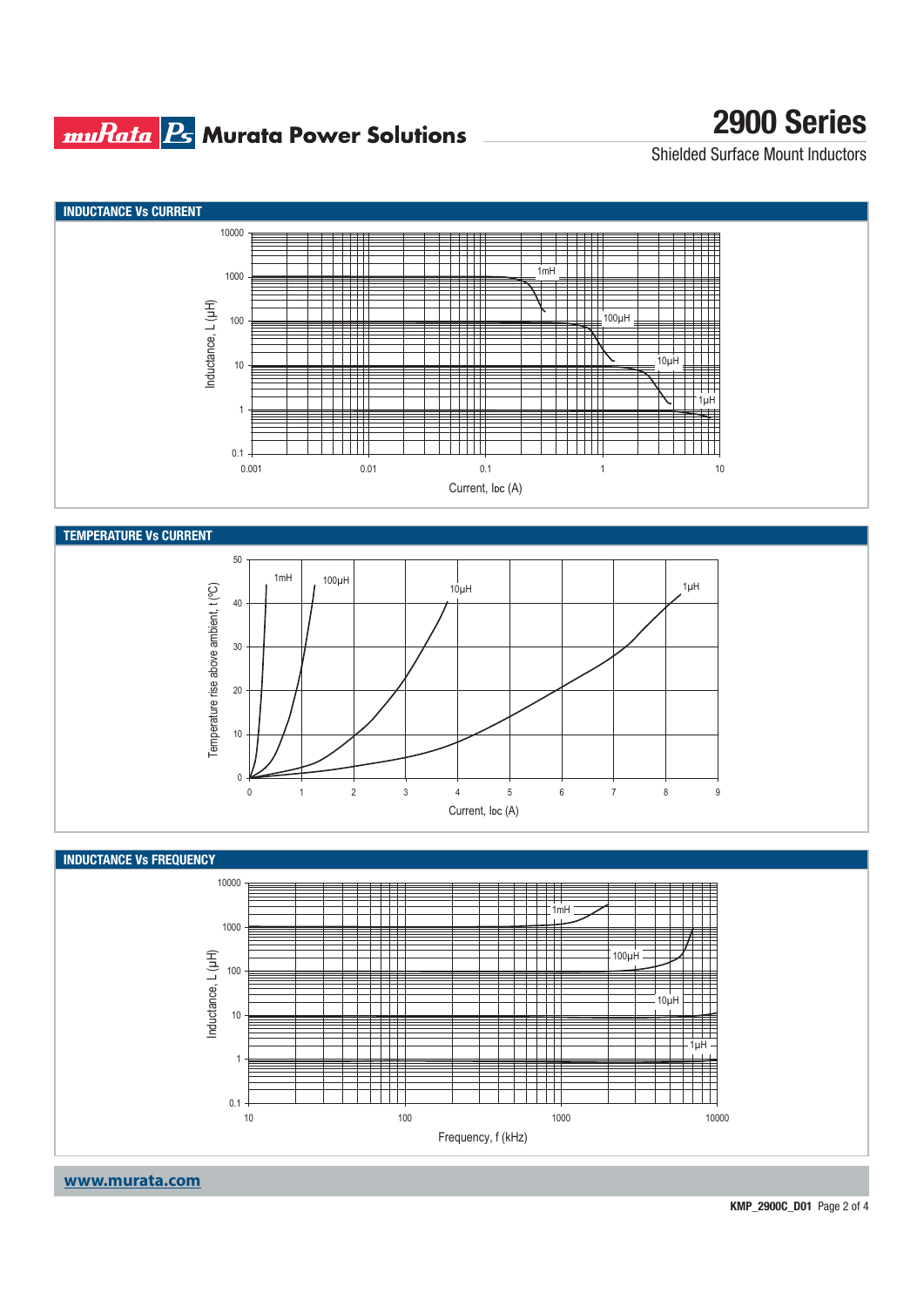### **muRata Bs** Murata Power Solutions

# **2900 Series**

Shielded Surface Mount Inductors

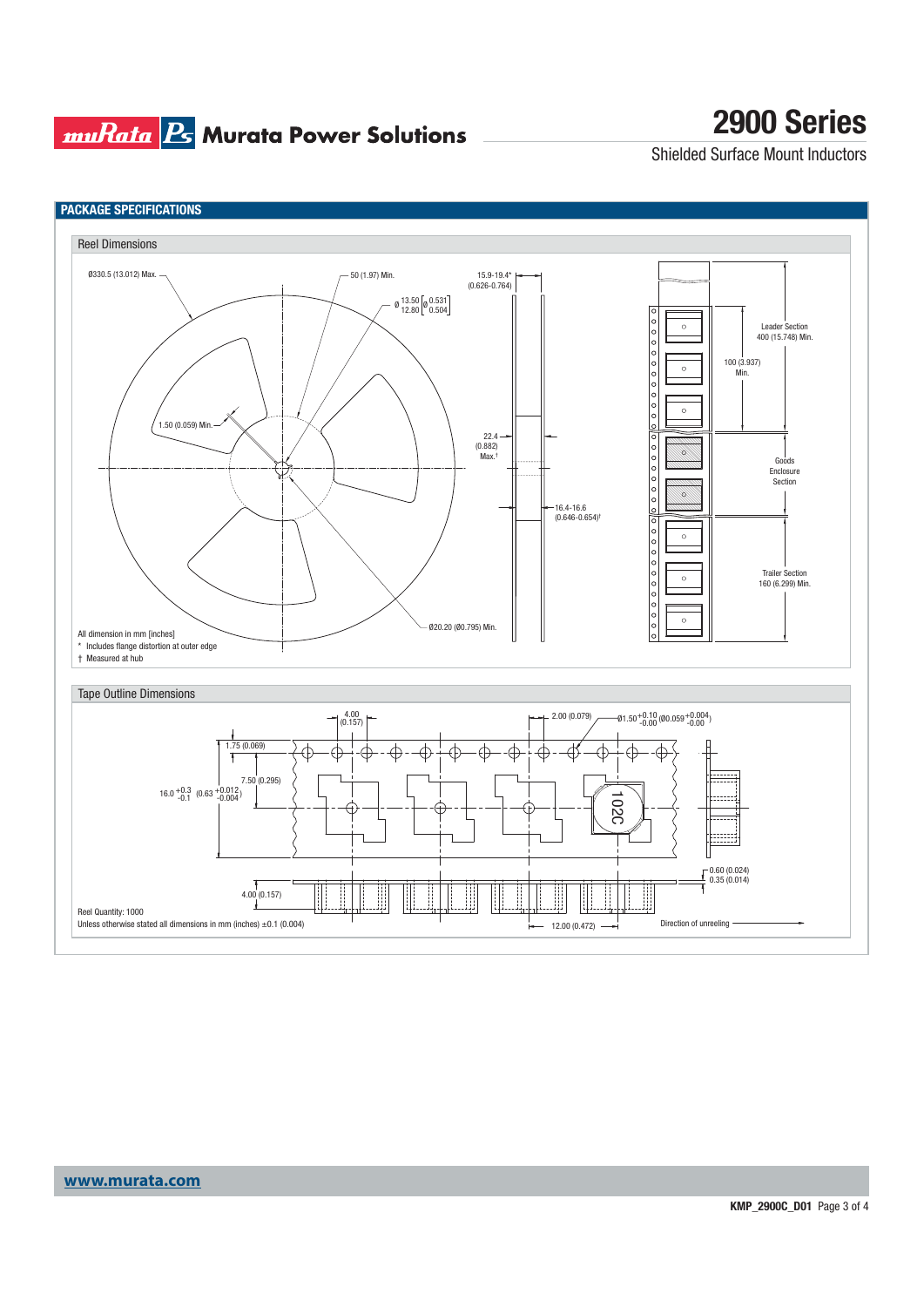## **muRata B<sub>5</sub> Murata Power Solutions**

# **2900 Series**

Shielded Surface Mount Inductors